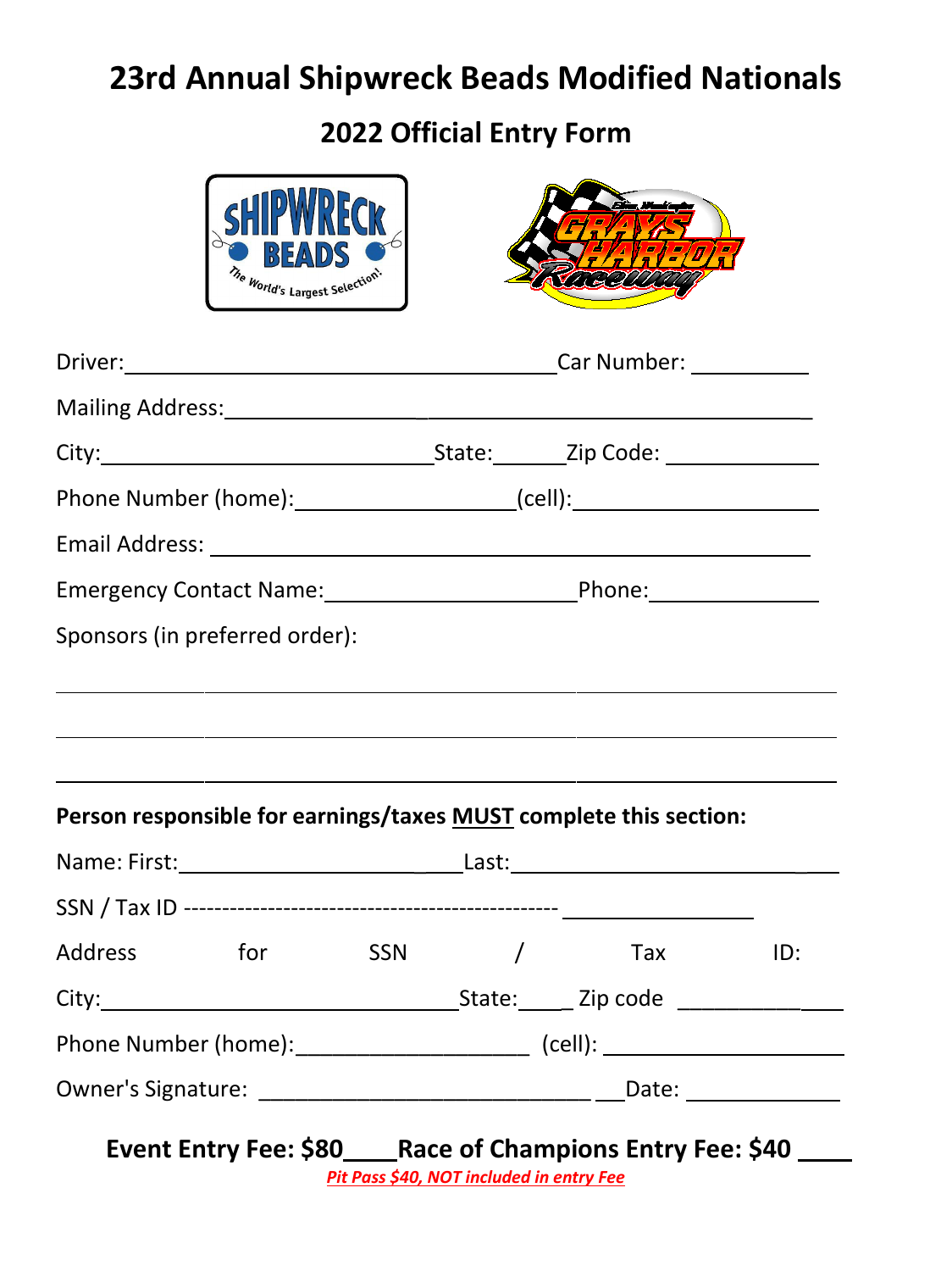# **23rd Annual Shipwreck Beads Modified Nationals**

**2022 Official Entry Form**



Owner's Signature: \_\_\_\_\_\_\_\_\_\_\_\_\_\_\_\_\_\_\_\_\_\_\_\_\_\_\_ Date:

**Event Entry Fee: \$80\_\_\_\_Race of Champions Entry Fee: \$40 \_\_\_\_** 

*Pit Pass \$40, NOT included in entry Fee*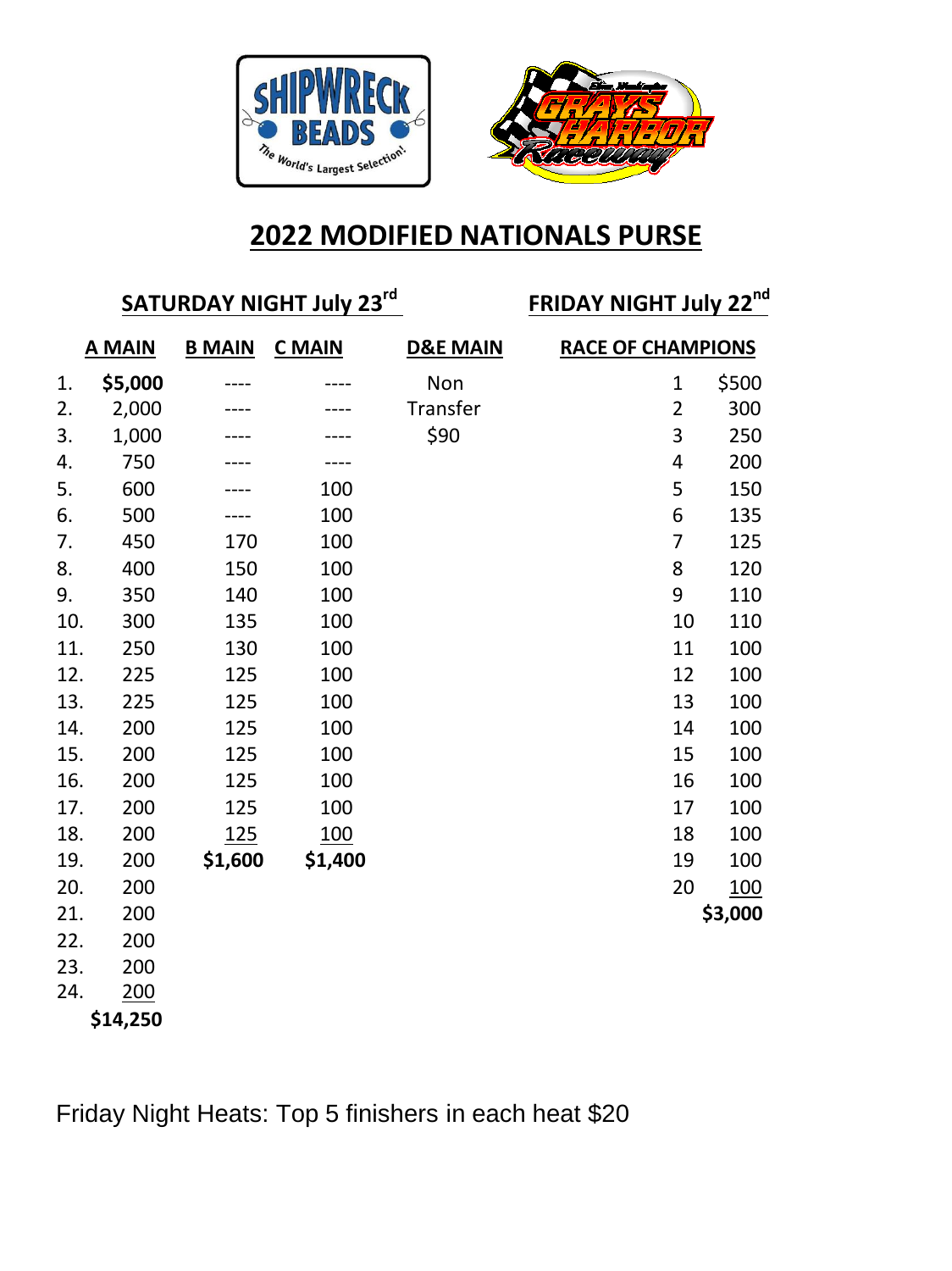



# **2022 MODIFIED NATIONALS PURSE**

# **SATURDAY NIGHT July 23**

**rd FRIDAY NIGHT July 22 nd**

| <b>A MAIN</b> |         | <b>B MAIN</b> | <b>C</b> MAIN | <b>D&amp;E MAIN</b> |                | <b>RACE OF CHAMPIONS</b> |  |  |
|---------------|---------|---------------|---------------|---------------------|----------------|--------------------------|--|--|
| 1.            | \$5,000 |               |               | Non                 | 1              | \$500                    |  |  |
| 2.            | 2,000   |               |               | Transfer            | $\overline{2}$ | 300                      |  |  |
| 3.            | 1,000   |               |               | \$90                | 3              | 250                      |  |  |
| 4.            | 750     |               |               |                     | 4              | 200                      |  |  |
| 5.            | 600     |               | 100           |                     | 5              | 150                      |  |  |
| 6.            | 500     |               | 100           |                     | 6              | 135                      |  |  |
| 7.            | 450     | 170           | 100           |                     | 7              | 125                      |  |  |
| 8.            | 400     | 150           | 100           |                     | 8              | 120                      |  |  |
| 9.            | 350     | 140           | 100           |                     | 9              | 110                      |  |  |
| 10.           | 300     | 135           | 100           |                     | 10             | 110                      |  |  |
| 11.           | 250     | 130           | 100           |                     | 11             | 100                      |  |  |
| 12.           | 225     | 125           | 100           |                     | 12             | 100                      |  |  |
| 13.           | 225     | 125           | 100           |                     | 13             | 100                      |  |  |
| 14.           | 200     | 125           | 100           |                     | 14             | 100                      |  |  |
| 15.           | 200     | 125           | 100           |                     | 15             | 100                      |  |  |
| 16.           | 200     | 125           | 100           |                     | 16             | 100                      |  |  |
| 17.           | 200     | 125           | 100           |                     | 17             | 100                      |  |  |
| 18.           | 200     | <u>125</u>    | <u>100</u>    |                     | 18             | 100                      |  |  |
| 19.           | 200     | \$1,600       | \$1,400       |                     | 19             | 100                      |  |  |
| 20.           | 200     |               |               |                     | 20             | <u>100</u>               |  |  |
| 21.           | 200     |               |               |                     |                | \$3,000                  |  |  |
| 22.           | 200     |               |               |                     |                |                          |  |  |
| 23.           | 200     |               |               |                     |                |                          |  |  |
| 24.           | 200     |               |               |                     |                |                          |  |  |

**\$14,250**

Friday Night Heats: Top 5 finishers in each heat \$20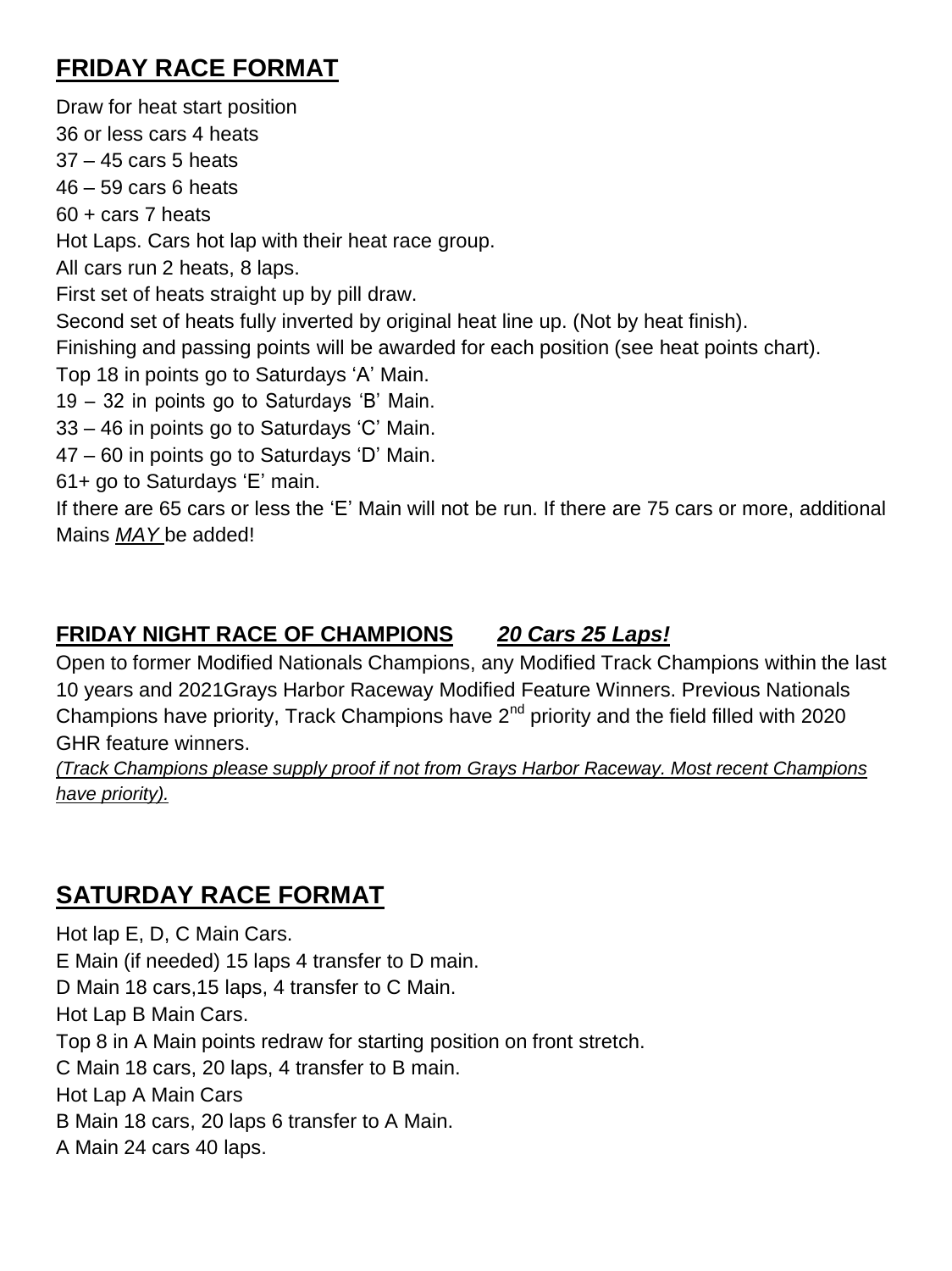## **FRIDAY RACE FORMAT**

Draw for heat start position 36 or less cars 4 heats 37 – 45 cars 5 heats 46 – 59 cars 6 heats 60 + cars 7 heats Hot Laps. Cars hot lap with their heat race group. All cars run 2 heats, 8 laps. First set of heats straight up by pill draw. Second set of heats fully inverted by original heat line up. (Not by heat finish). Finishing and passing points will be awarded for each position (see heat points chart). Top 18 in points go to Saturdays 'A' Main. 19 – 32 in points go to Saturdays 'B' Main. 33 – 46 in points go to Saturdays 'C' Main. 47 – 60 in points go to Saturdays 'D' Main. 61+ go to Saturdays 'E' main. If there are 65 cars or less the 'E' Main will not be run. If there are 75 cars or more, additional

Mains *MAY* be added!

#### **FRIDAY NIGHT RACE OF CHAMPIONS** *20 Cars 25 Laps!*

Open to former Modified Nationals Champions, any Modified Track Champions within the last 10 years and 2021Grays Harbor Raceway Modified Feature Winners. Previous Nationals Champions have priority, Track Champions have  $2<sup>nd</sup>$  priority and the field filled with 2020 GHR feature winners.

*(Track Champions please supply proof if not from Grays Harbor Raceway. Most recent Champions have priority).*

#### **SATURDAY RACE FORMAT**

Hot lap E, D, C Main Cars. E Main (if needed) 15 laps 4 transfer to D main. D Main 18 cars,15 laps, 4 transfer to C Main. Hot Lap B Main Cars. Top 8 in A Main points redraw for starting position on front stretch. C Main 18 cars, 20 laps, 4 transfer to B main. Hot Lap A Main Cars B Main 18 cars, 20 laps 6 transfer to A Main. A Main 24 cars 40 laps.